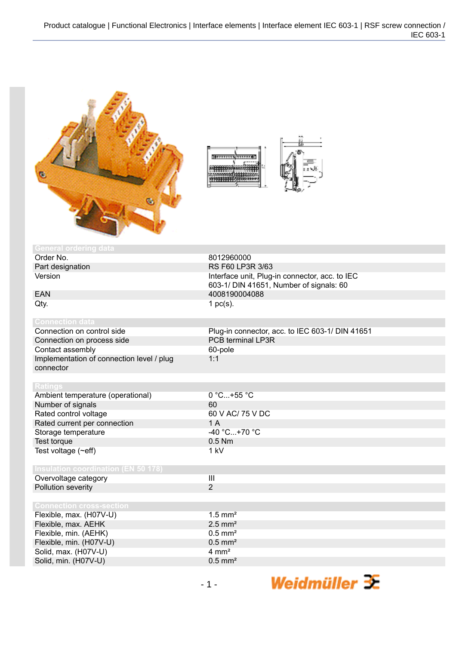

| mud (<br>$0 + 1111$ |  |
|---------------------|--|
|                     |  |

| <b>General ordering data</b>               |                                                 |
|--------------------------------------------|-------------------------------------------------|
| Order No.                                  | 8012960000                                      |
| Part designation                           | RS F60 LP3R 3/63                                |
| Version                                    | Interface unit, Plug-in connector, acc. to IEC  |
|                                            | 603-1/ DIN 41651, Number of signals: 60         |
| <b>EAN</b>                                 | 4008190004088                                   |
| Qty.                                       | 1 $pc(s)$ .                                     |
|                                            |                                                 |
| <b>Connection data</b>                     |                                                 |
| Connection on control side                 | Plug-in connector, acc. to IEC 603-1/ DIN 41651 |
| Connection on process side                 | PCB terminal LP3R                               |
| Contact assembly                           | 60-pole                                         |
| Implementation of connection level / plug  | 1:1                                             |
| connector                                  |                                                 |
|                                            |                                                 |
| <b>Ratings</b>                             |                                                 |
| Ambient temperature (operational)          | $0 °C+55 °C$                                    |
| Number of signals                          | 60                                              |
| Rated control voltage                      | 60 V AC/ 75 V DC                                |
| Rated current per connection               | 1A                                              |
| Storage temperature                        | $-40 °C+70 °C$                                  |
| Test torque                                | $0.5$ Nm                                        |
| Test voltage $(\sim eff)$                  | 1 kV                                            |
|                                            |                                                 |
| <b>Insulation coordination (EN 50 178)</b> |                                                 |
| Overvoltage category                       | III                                             |
| Pollution severity                         | $\overline{2}$                                  |
|                                            |                                                 |
| <b>Connection cross-section</b>            |                                                 |
| Flexible, max. (H07V-U)                    | $1.5$ mm <sup>2</sup>                           |
| Flexible, max. AEHK                        | $2.5$ mm <sup>2</sup>                           |
| Flexible, min. (AEHK)                      | $0.5$ mm <sup>2</sup>                           |
| Flexible, min. (H07V-U)                    | $0.5$ mm <sup>2</sup>                           |
| Solid, max. (H07V-U)                       | $4 \text{ mm}^2$                                |
| Solid, min. (H07V-U)                       | $0.5$ mm <sup>2</sup>                           |
|                                            |                                                 |

Weidmüller  $\mathbf{\mathcal{F}}$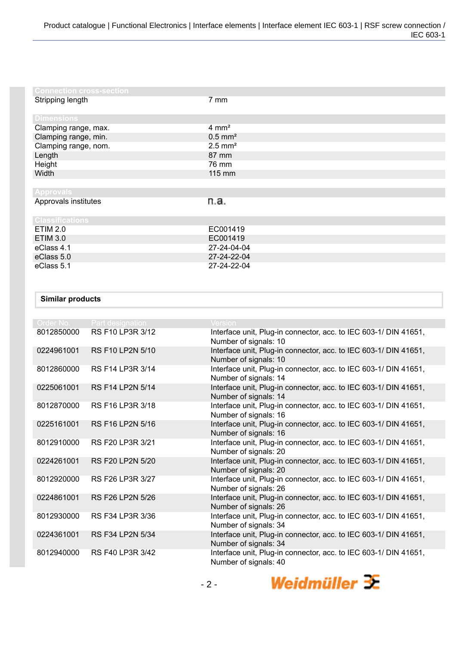| <b>Connection cross-section</b> |                       |
|---------------------------------|-----------------------|
| Stripping length                | $7 \text{ mm}$        |
| <b>Dimensions</b>               |                       |
| Clamping range, max.            | $4 \, \text{mm}^2$    |
| Clamping range, min.            | $0.5$ mm <sup>2</sup> |
| Clamping range, nom.            | $2.5$ mm <sup>2</sup> |
| Length                          | 87 mm                 |
| Height                          | 76 mm                 |
| Width                           | $115 \text{ mm}$      |
|                                 |                       |
| <b>Approvals</b>                |                       |
| Approvals institutes            | n.a.                  |
| <b>Classifications</b>          |                       |
| <b>ETIM 2.0</b>                 | EC001419              |
| <b>ETIM 3.0</b>                 | EC001419              |
| eClass 4.1                      | 27-24-04-04           |
| eClass 5.0                      | 27-24-22-04           |
| eClass 5.1                      | 27-24-22-04           |

## **Similar products**

| Order No.  | <b>Part designation</b> | <b>Version</b>                                                                            |
|------------|-------------------------|-------------------------------------------------------------------------------------------|
| 8012850000 | RS F10 LP3R 3/12        | Interface unit, Plug-in connector, acc. to IEC 603-1/ DIN 41651,<br>Number of signals: 10 |
| 0224961001 | <b>RS F10 LP2N 5/10</b> | Interface unit, Plug-in connector, acc. to IEC 603-1/ DIN 41651,<br>Number of signals: 10 |
| 8012860000 | RS F14 LP3R 3/14        | Interface unit, Plug-in connector, acc. to IEC 603-1/ DIN 41651,<br>Number of signals: 14 |
| 0225061001 | <b>RS F14 LP2N 5/14</b> | Interface unit, Plug-in connector, acc. to IEC 603-1/ DIN 41651,<br>Number of signals: 14 |
| 8012870000 | RS F16 LP3R 3/18        | Interface unit, Plug-in connector, acc. to IEC 603-1/ DIN 41651,<br>Number of signals: 16 |
| 0225161001 | RS F16 LP2N 5/16        | Interface unit, Plug-in connector, acc. to IEC 603-1/ DIN 41651,<br>Number of signals: 16 |
| 8012910000 | RS F20 LP3R 3/21        | Interface unit, Plug-in connector, acc. to IEC 603-1/ DIN 41651,<br>Number of signals: 20 |
| 0224261001 | RS F20 LP2N 5/20        | Interface unit, Plug-in connector, acc. to IEC 603-1/ DIN 41651,<br>Number of signals: 20 |
| 8012920000 | RS F26 LP3R 3/27        | Interface unit, Plug-in connector, acc. to IEC 603-1/ DIN 41651,<br>Number of signals: 26 |
| 0224861001 | RS F26 LP2N 5/26        | Interface unit, Plug-in connector, acc. to IEC 603-1/ DIN 41651,<br>Number of signals: 26 |
| 8012930000 | RS F34 LP3R 3/36        | Interface unit, Plug-in connector, acc. to IEC 603-1/ DIN 41651,<br>Number of signals: 34 |
| 0224361001 | RS F34 LP2N 5/34        | Interface unit, Plug-in connector, acc. to IEC 603-1/ DIN 41651,<br>Number of signals: 34 |
| 8012940000 | RS F40 LP3R 3/42        | Interface unit, Plug-in connector, acc. to IEC 603-1/ DIN 41651,<br>Number of signals: 40 |